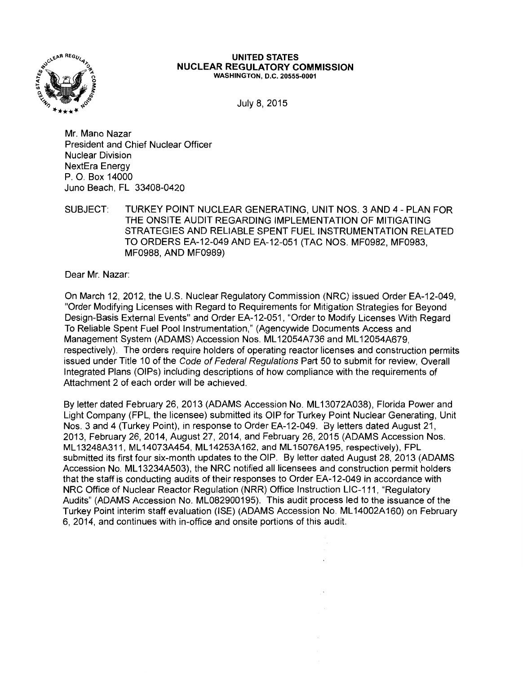

#### **UNITED STATES NUCLEAR REGULATORY COMMISSION**  WASHINGTON, D.C. 20555-0001

July 8, 2015

Mr. Mano Nazar President and Chief Nuclear Officer Nuclear Division NextEra Energy P. 0. Box 14000 Juno Beach, FL 33408-0420

SUBJECT: TURKEY POINT NUCLEAR GENERATING, UNIT NOS. 3 AND 4 - PLAN FOR THE ONSITE AUDIT REGARDING IMPLEMENTATION OF MITIGATING STRATEGIES AND RELIABLE SPENT FUEL INSTRUMENTATION RELATED TO ORDERS EA-12-049 AND EA-12-051 (TAC NOS. MF0982, MF0983, MF0988, AND MF0989)

Dear Mr. Nazar:

On March 12, 2012, the U.S. Nuclear Regulatory Commission (NRC) issued Order EA-12-049, "Order Modifying Licenses with Regard to Requirements for Mitigation Strategies for Beyond Design-Basis External Events" and Order EA-12-051, "Order to Modify Licenses With Regard To Reliable Spent Fuel Pool Instrumentation," (Agencywide Documents Access and Management System (ADAMS) Accession Nos. ML 12054A736 and ML 12054A679, respectively). The orders require holders of operating reactor licenses and construction permits issued under Title 10 of the Code of Federal Regulations Part 50 to submit for review, Overall Integrated Plans (OIPs) including descriptions of how compliance with the requirements of Attachment 2 of each order will be achieved.

By letter dated February 26, 2013 (ADAMS Accession No. ML 13072A038), Florida Power and Light Company (FPL, the licensee) submitted its OIP for Turkey Point Nuclear Generating, Unit Nos. 3 and 4 (Turkey Point), in response to Order EA-12-049. By letters dated August 21, 2013, February 26, 2014, August 27, 2014, and February 26, 2015 (ADAMS Accession Nos. ML 13248A311, ML 14073A454, ML 14253A162, and ML 15076A195, respectively), FPL submitted its first four six-month updates to the OIP. By letter dated August 28, 2013 (ADAMS Accession No. ML13234A503), the NRC notified all licensees and construction permit holders that the staff is conducting audits of their responses to Order EA-12-049 in accordance with NRC Office of Nuclear Reactor Regulation (NRR) Office Instruction LIC-111, "Regulatory Audits" (ADAMS Accession No. ML082900195). This audit process led to the issuance of the Turkey Point interim staff evaluation (ISE) (ADAMS Accession No. ML 14002A160) on February 6, 2014, and continues with in-office and onsite portions of this audit.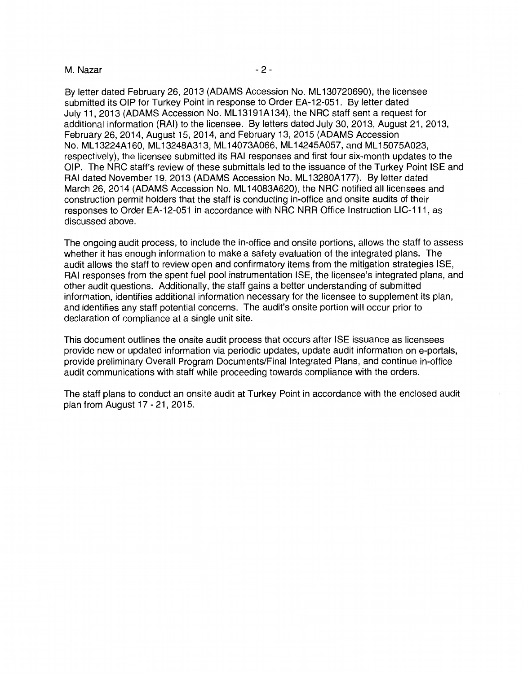## M. Nazar  $-2$  -

By letter dated February 26, 2013 (ADAMS Accession No. ML 130720690), the licensee submitted its OIP for Turkey Point in response to Order EA-12-051. By letter dated July 11, 2013 (ADAMS Accession No. ML 13191A134), the NRC staff sent a request for additional information (RAI) to the licensee. By letters dated July 30, 2013, August 21, 2013, February 26, 2014, August 15, 2014, and February 13, 2015 (ADAMS Accession No. ML 13224A 160, ML 13248A313, ML 14073A066, ML 14245A057, and ML 15075A023, respectively), the licensee submitted its RAI responses and first four six-month updates to the OIP. The NRC staff's review of these submittals led to the issuance of the Turkey Point ISE and RAI dated November 19, 2013 (ADAMS Accession No. ML 13280A 177). By letter dated March 26, 2014 (ADAMS Accession No. ML 14083A620), the NRC notified all licensees and construction permit holders that the staff is conducting in-office and onsite audits of their responses to Order EA-12-051 in accordance with NRC NRR Office Instruction LIC-111, as discussed above.

The ongoing audit process, to include the in-office and onsite portions, allows the staff to assess whether it has enough information to make a safety evaluation of the integrated plans. The audit allows the staff to review open and confirmatory items from the mitigation strategies ISE, RAI responses from the spent fuel pool instrumentation ISE, the licensee's integrated plans, and other audit questions. Additionally, the staff gains a better understanding of submitted information, identifies additional information necessary for the licensee to supplement its plan, and identifies any staff potential concerns. The audit's onsite portion will occur prior to declaration of compliance at a single unit site.

This document outlines the onsite audit process that occurs after ISE issuance as licensees provide new or updated information via periodic updates, update audit information on e-portals, provide preliminary Overall Program Documents/Final Integrated Plans, and continue in-office audit communications with staff while proceeding towards compliance with the orders.

The staff plans to conduct an onsite audit at Turkey Point in accordance with the enclosed audit plan from August 17 - 21, 2015.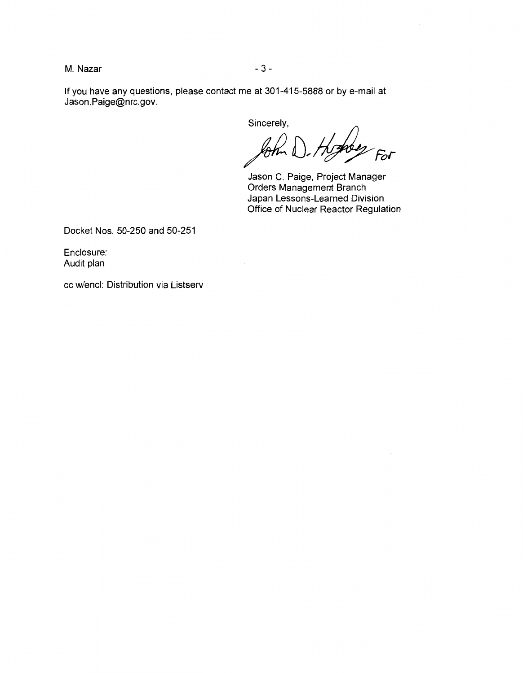M. Nazar 3 -

If you have any questions, please contact me at 301-415-5888 or by e-mail at Jason.Paige@nrc.gov.

Sincerely,

 $F$ 

Jason C. Paige, Project Manager Orders Management Branch Japan Lessons-Learned Division Office of Nuclear Reactor Regulation

Docket Nos. 50-250 and 50-251

Enclosure: Audit plan

cc w/encl: Distribution via Listserv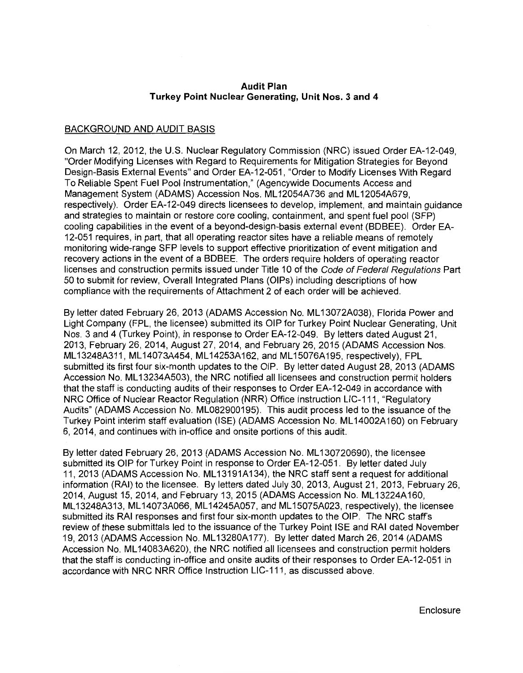## **Audit Plan Turkey Point Nuclear Generating, Unit Nos. 3 and 4**

## BACKGROUND AND AUDIT BASIS

On March 12, 2012, the U.S. Nuclear Regulatory Commission (NRC) issued Order EA-12-049, "Order Modifying Licenses with Regard to Requirements for Mitigation Strategies for Beyond Design-Basis External Events" and Order EA-12-051, "Order to Modify Licenses With Regard To Reliable Spent Fuel Pool Instrumentation," (Agencywide Documents Access and Management System (ADAMS) Accession Nos. ML 12054A736 and ML 12054A679, respectively). Order EA-12-049 directs licensees to develop, implement, and maintain guidance and strategies to maintain or restore core cooling, containment, and spent fuel pool (SFP) cooling capabilities in the event of a beyond-design-basis external event (BDBEE). Order EA-12-051 requires, in part, that all operating reactor sites have a reliable means of remotely monitoring wide-range SFP levels to support effective prioritization of event mitigation and recovery actions in the event of a BDBEE. The orders require holders of operating reactor licenses and construction permits issued under Title 10 of the Code of Federal Regulations Part 50 to submit for review, Overall Integrated Plans (OIPs) including descriptions of how compliance with the requirements of Attachment 2 of each order will be achieved.

By letter dated February 26, 2013 (ADAMS Accession No. ML13072A038), Florida Power and Light Company (FPL, the licensee) submitted its OIP for Turkey Point Nuclear Generating, Unit Nos. 3 and 4 (Turkey Point), in response to Order EA-12-049. By letters dated August 21, 2013, February 26, 2014, August 27, 2014, and February 26, 2015 (ADAMS Accession Nos. ML 13248A311, ML 14073A454, ML 14253A162, and ML 15076A195, respectively), FPL submitted its first four six-month updates to the OIP. By letter dated August 28, 2013 (ADAMS Accession No. ML13234A503), the NRC notified all licensees and construction permit holders that the staff is conducting audits of their responses to Order EA-12-049 in accordance with NRC Office of Nuclear Reactor Regulation (NRR) Office Instruction LIC-111, "Regulatory Audits" (ADAMS Accession No. ML082900195). This audit process led to the issuance of the Turkey Point interim staff evaluation (ISE) (ADAMS Accession No. ML 14002A160) on February 6, 2014, and continues with in-office and onsite portions of this audit.

By letter dated February 26, 2013 (ADAMS Accession No. ML130720690), the licensee submitted its OIP for Turkey Point in response to Order EA-12-051. By letter dated July 11, 2013 (ADAMS Accession No. ML 13191A134), the NRC staff sent a request for additional information (RAI) to the licensee. By letters dated July 30, 2013, August 21, 2013, February 26, 2014, August 15, 2014, and February 13, 2015 (ADAMS Accession No. ML13224A160, ML 13248A313, ML 14073A066, ML 14245A057, and ML 15075A023, respectively), the licensee submitted its RAI responses and first four six-month updates to the OIP. The NRC staff's review of these submittals led to the issuance of the Turkey Point ISE and RAI dated November 19, 2013 (ADAMS Accession No. ML 13280A177). By letter dated March 26, 2014 (ADAMS Accession No. ML 14083A620), the NRC notified all licensees and construction permit holders that the staff is conducting in-office and onsite audits of their responses to Order EA-12-051 in accordance with NRC NRR Office Instruction LIC-111, as discussed above.

Enclosure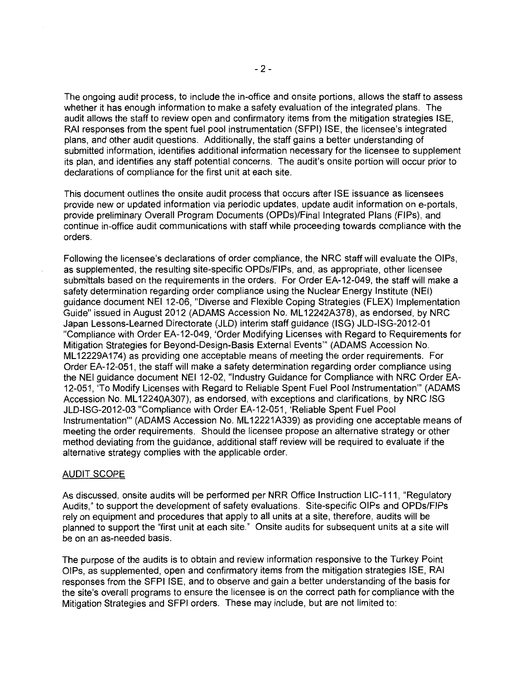The ongoing audit process, to include the in-office and onsite portions, allows the staff to assess whether it has enough information to make a safety evaluation of the integrated plans. The audit allows the staff to review open and confirmatory items from the mitigation strategies ISE, RAI responses from the spent fuel pool instrumentation (SFPI) ISE, the licensee's integrated plans, and other audit questions. Additionally, the staff gains a better understanding of submitted information, identifies additional information necessary for the licensee to supplement its plan, and identifies any staff potential concerns. The audit's onsite portion will occur prior to declarations of compliance for the first unit at each site.

This document outlines the onsite audit process that occurs after ISE issuance as licensees provide new or updated information via periodic updates, update audit information on e-portals, provide preliminary Overall Program Documents (OPDs)/Final Integrated Plans (FIPs), and continue in-office audit communications with staff while proceeding towards compliance with the orders.

Following the licensee's declarations of order compliance, the NRC staff will evaluate the OIPs, as supplemented, the resulting site-specific OPDs/FIPs, and, as appropriate, other licensee submittals based on the requirements in the orders. For Order EA-12-049, the staff will make a safety determination regarding order compliance using the Nuclear Energy Institute (NEI) guidance document NEI 12-06, "Diverse and Flexible Coping Strategies (FLEX) Implementation Guide" issued in August 2012 (ADAMS Accession No. ML 12242A378), as endorsed, by NRC Japan Lessons-Learned Directorate (JLD) interim staff guidance (ISG) JLD-ISG-2012-01 "Compliance with Order EA-12-049, 'Order Modifying Licenses with Regard to Requirements for Mitigation Strategies for Beyond-Design-Basis External Events"' (ADAMS Accession No. ML 12229A174) as providing one acceptable means of meeting the order requirements. For Order EA-12-051, the staff will make a safety determination regarding order compliance using the NEI guidance document NEI 12-02, "Industry Guidance for Compliance with NRC Order EA-12-051, 'To Modify Licenses with Regard to Reliable Spent Fuel Pool Instrumentation"' (ADAMS Accession No. ML 12240A307), as endorsed, with exceptions and clarifications, by NRC ISG JLD-ISG-2012-03 "Compliance with Order EA-12-051, 'Reliable Spent Fuel Pool Instrumentation"' (ADAMS Accession No. ML 12221A339) as providing one acceptable means of meeting the order requirements. Should the licensee propose an alternative strategy or other method deviating from the guidance, additional staff review will be required to evaluate if the alternative strategy complies with the applicable order.

## AUDIT SCOPE

As discussed, onsite audits will be performed per NRR Office Instruction LIC-111, "Regulatory Audits," to support the development of safety evaluations. Site-specific OIPs and OPDs/FIPs rely on equipment and procedures that apply to all units at a site, therefore, audits will be planned to support the "first unit at each site." Onsite audits for subsequent units at a site will be on an as-needed basis.

The purpose of the audits is to obtain and review information responsive to the Turkey Point OIPs, as supplemented, open and confirmatory items from the mitigation strategies ISE, RAI responses from the SFPI ISE, and to observe and gain a better understanding of the basis for the site's overall programs to ensure the licensee is on the correct path for compliance with the Mitigation Strategies and SFPI orders. These may include, but are not limited to: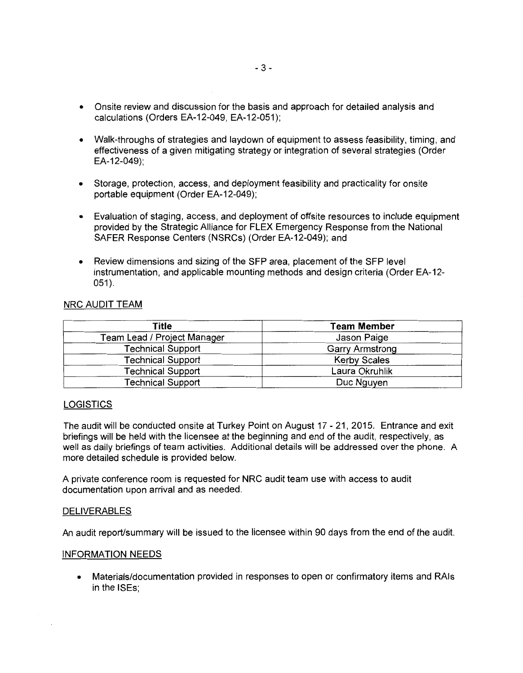- Onsite review and discussion for the basis and approach for detailed analysis and calculations (Orders EA-12-049, EA-12-051);
- Walk-throughs of strategies and laydown of equipment to assess feasibility, timing, and effectiveness of a given mitigating strategy or integration of several strategies (Order EA-12-049);
- Storage, protection, access, and deployment feasibility and practicality for onsite portable equipment (Order EA-12-049);
- Evaluation of staging, access, and deployment of offsite resources to include equipment provided by the Strategic Alliance for FLEX Emergency Response from the National SAFER Response Centers (NSRCs) (Order EA-12-049); and
- Review dimensions and sizing of the SFP area, placement of the SFP level instrumentation, and applicable mounting methods and design criteria (Order EA-12-  $051$ .

## NRC AUDIT TEAM

| Title                       | <b>Team Member</b><br>Jason Paige |  |
|-----------------------------|-----------------------------------|--|
| Team Lead / Project Manager |                                   |  |
| <b>Technical Support</b>    | <b>Garry Armstrong</b>            |  |
| <b>Technical Support</b>    | <b>Kerby Scales</b>               |  |
| <b>Technical Support</b>    | Laura Okruhlik                    |  |
| <b>Technical Support</b>    | Duc Nguyen                        |  |

## **LOGISTICS**

The audit will be conducted onsite at Turkey Point on August 17 - 21, 2015. Entrance and exit briefings will be held with the licensee at the beginning and end of the audit, respectively, as well as daily briefings of team activities. Additional details will be addressed over the phone. A more detailed schedule is provided below.

A private conference room is requested for NRC audit team use with access to audit documentation upon arrival and as needed.

#### DELIVERABLES

An audit report/summary will be issued to the licensee within 90 days from the end of the audit.

#### INFORMATION NEEDS

• Materials/documentation provided in responses to open or confirmatory items and RAls in the ISEs;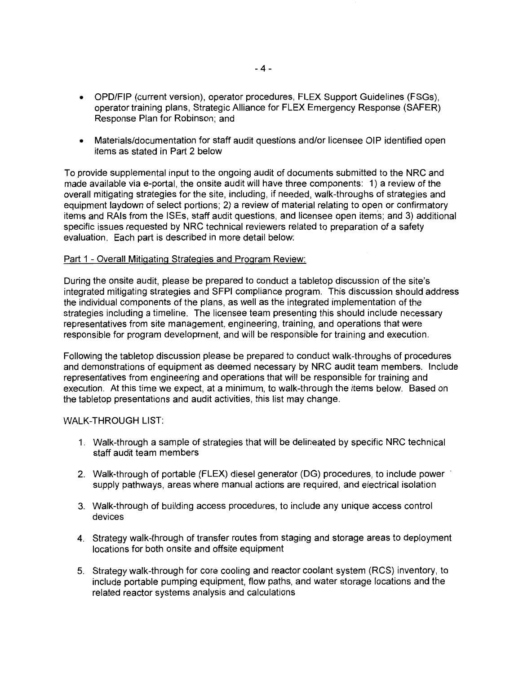- OPD/FIP (current version), operator procedures, FLEX Support Guidelines (FSGs), operator training plans, Strategic Alliance for FLEX Emergency Response (SAFER) Response Plan for Robinson; and
- Materials/documentation for staff audit questions and/or licensee OIP identified open items as stated in Part 2 below

To provide supplemental input to the ongoing audit of documents submitted to the NRC and made available via e-portal, the onsite audit will have three components: 1) a review of the overall mitigating strategies for the site, including, if needed, walk-throughs of strategies and equipment laydown of select portions; 2) a review of material relating to open or confirmatory items and RAls from the ISEs, staff audit questions, and licensee open items; and 3) additional specific issues requested by NRC technical reviewers related to preparation of a safety evaluation. Each part is described in more detail below:

### Part 1 - Overall Mitigating Strategies and Program Review:

During the onsite audit, please be prepared to conduct a tabletop discussion of the site's integrated mitigating strategies and SFPI compliance program. This discussion should address the individual components of the plans, as well as the integrated implementation of the strategies including a timeline. The licensee team presenting this should include necessary representatives from site management, engineering, training, and operations that were responsible for program development, and will be responsible for training and execution.

Following the tabletop discussion please be prepared to conduct walk-throughs of procedures and demonstrations of equipment as deemed necessary by NRC audit team members. Include representatives from engineering and operations that will be responsible for training and execution. At this time we expect, at a minimum, to walk-through the items below. Based on the tabletop presentations and audit activities, this list may change.

#### WALK-THROUGH LIST:

- 1. Walk-through a sample of strategies that will be delineated by specific NRC technical staff audit team members
- 2. Walk-through of portable (FLEX) diesel generator (DG) procedures, to include power · supply pathways, areas where manual actions are required, and electrical isolation
- 3. Walk-through of building access procedures, to include any unique access control devices
- 4. Strategy walk-through of transfer routes from staging and storage areas to deployment locations for both onsite and offsite equipment
- 5. Strategy walk-through for core cooling and reactor coolant system (RCS) inventory, to include portable pumping equipment, flow paths, and water storage locations and the related reactor systems analysis and calculations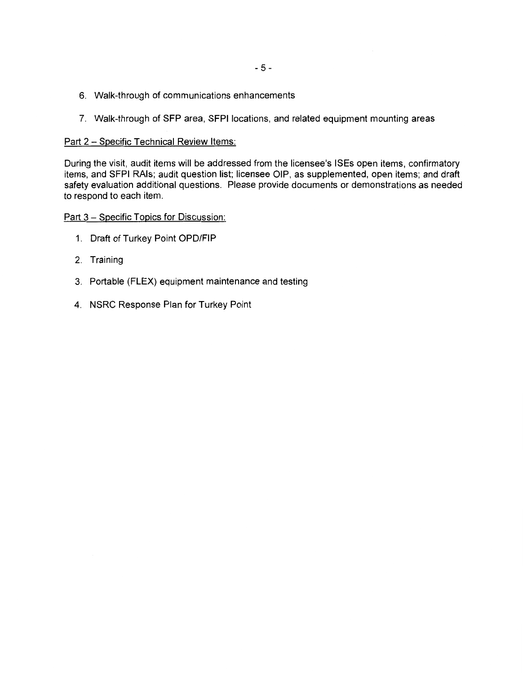- 6. Walk-through of communications enhancements
- 7. Walk-through of SFP area, SFPI locations, and related equipment mounting areas

### Part 2 - Specific Technical Review Items:

During the visit, audit items will be addressed from the licensee's ISEs open items, confirmatory items, and SFPI RAls; audit question list; licensee OIP, as supplemented, open items; and draft safety evaluation additional questions. Please provide documents or demonstrations as needed to respond to each item.

# Part 3 - Specific Topics for Discussion:

- 1. Draft of Turkey Point OPD/FIP
- 2. Training
- 3. Portable (FLEX) equipment maintenance and testing
- 4. NSRC Response Plan for Turkey Point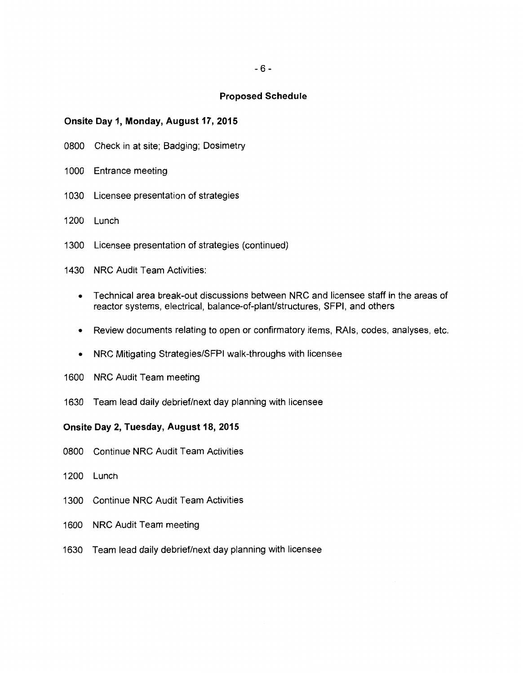#### **Proposed Schedule**

### **Onsite Day 1, Monday, August 17, 2015**

- 0800 Check in at site; Badging; Dosimetry
- 1000 Entrance meeting
- 1030 Licensee presentation of strategies
- 1200 Lunch
- 1300 Licensee presentation of strategies (continued)
- 1430 NRG Audit Team Activities:
	- Technical area break-out discussions between NRG and licensee staff in the areas of reactor systems, electrical, balance-of-plant/structures, SFPI, and others
	- Review documents relating to open or confirmatory items, RAls, codes, analyses, etc.
	- NRG Mitigating Strategies/SFPI walk-throughs with licensee
- 1600 NRG Audit Team meeting
- 1630 Team lead daily debrief/next day planning with licensee

## **Onsite Day 2, Tuesday, August 18, 2015**

- 0800 Continue NRG Audit Team Activities
- 1200 Lunch
- 1300 Continue NRG Audit Team Activities
- 1600 NRG Audit Team meeting
- 1630 Team lead daily debrief/next day planning with licensee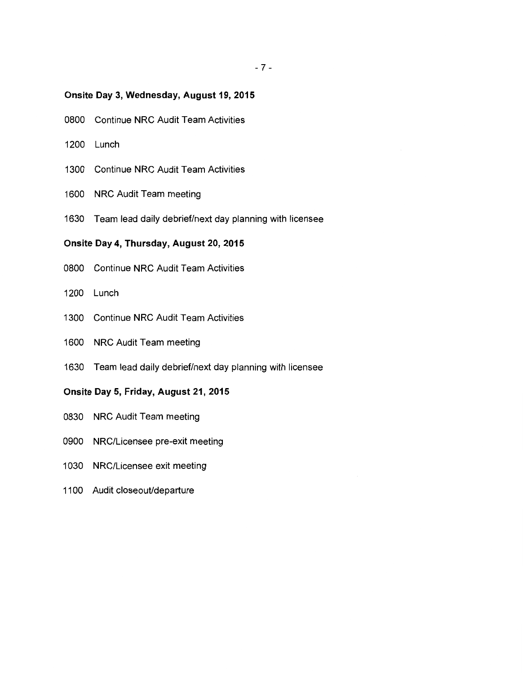## **Onsite Day 3, Wednesday, August 19, 2015**

- 0800 Continue NRC Audit Team Activities
- 1200 Lunch
- 1300 Continue NRC Audit Team Activities
- 1600 NRC Audit Team meeting
- 1630 Team lead daily debrief/next day planning with licensee

## **Onsite Day 4, Thursday, August 20, 2015**

- 0800 Continue NRC Audit Team Activities
- 1200 Lunch
- 1300 Continue NRC Audit Team Activities
- 1600 NRC Audit Team meeting
- 1630 Team lead daily debrief/next day planning with licensee

## **Onsite Day 5, Friday, August 21, 2015**

- 0830 NRC Audit Team meeting
- 0900 NRG/Licensee pre-exit meeting
- 1030 NRG/Licensee exit meeting
- 1100 Audit closeout/departure